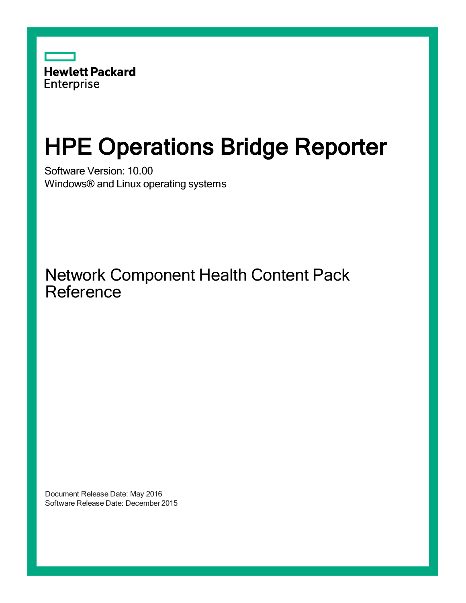

# HPE Operations Bridge Reporter

Software Version: 10.00 Windows® and Linux operating systems

Network Component Health Content Pack Reference

Document Release Date: May 2016 Software Release Date: December 2015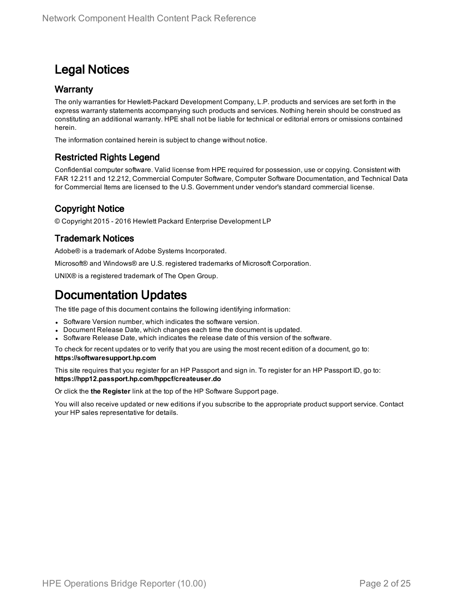### Legal Notices

#### **Warranty**

The only warranties for Hewlett-Packard Development Company, L.P. products and services are set forth in the express warranty statements accompanying such products and services. Nothing herein should be construed as constituting an additional warranty. HPE shall not be liable for technical or editorial errors or omissions contained herein.

The information contained herein is subject to change without notice.

### Restricted Rights Legend

Confidential computer software. Valid license from HPE required for possession, use or copying. Consistent with FAR 12.211 and 12.212, Commercial Computer Software, Computer Software Documentation, and Technical Data for Commercial Items are licensed to the U.S. Government under vendor's standard commercial license.

### Copyright Notice

© Copyright 2015 - 2016 Hewlett Packard Enterprise Development LP

#### Trademark Notices

Adobe® is a trademark of Adobe Systems Incorporated.

Microsoft® and Windows® are U.S. registered trademarks of Microsoft Corporation.

UNIX® is a registered trademark of The Open Group.

### Documentation Updates

The title page of this document contains the following identifying information:

- Software Version number, which indicates the software version.
- Document Release Date, which changes each time the document is updated.
- Software Release Date, which indicates the release date of this version of the software.

To check for recent updates or to verify that you are using the most recent edition of a document, go to: **https://softwaresupport.hp.com**

This site requires that you register for an HP Passport and sign in. To register for an HP Passport ID, go to: **https://hpp12.passport.hp.com/hppcf/createuser.do**

Or click the **the Register** link at the top of the HP Software Support page.

You will also receive updated or new editions if you subscribe to the appropriate product support service. Contact your HP sales representative for details.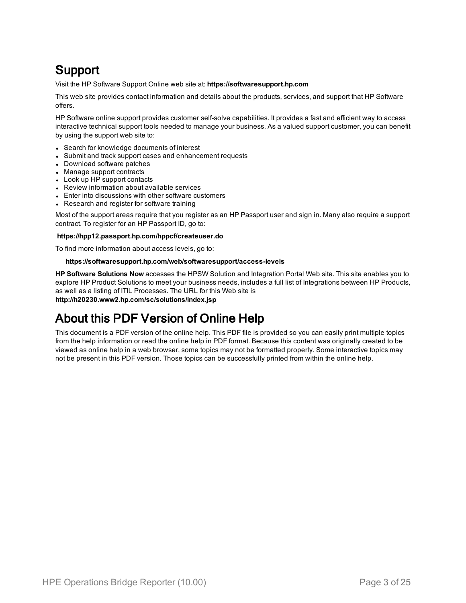### Support

Visit the HP Software Support Online web site at: **https://softwaresupport.hp.com**

This web site provides contact information and details about the products, services, and support that HP Software offers.

HP Software online support provides customer self-solve capabilities. It provides a fast and efficient way to access interactive technical support tools needed to manage your business. As a valued support customer, you can benefit by using the support web site to:

- Search for knowledge documents of interest
- Submit and track support cases and enhancement requests
- Download software patches
- Manage support contracts
- Look up HP support contacts
- Review information about available services
- Enter into discussions with other software customers
- Research and register for software training

Most of the support areas require that you register as an HP Passport user and sign in. Many also require a support contract. To register for an HP Passport ID, go to:

#### **https://hpp12.passport.hp.com/hppcf/createuser.do**

To find more information about access levels, go to:

#### **https://softwaresupport.hp.com/web/softwaresupport/access-levels**

**HP Software Solutions Now** accesses the HPSW Solution and Integration Portal Web site. This site enables you to explore HP Product Solutions to meet your business needs, includes a full list of Integrations between HP Products, as well as a listing of ITIL Processes. The URL for this Web site is **http://h20230.www2.hp.com/sc/solutions/index.jsp**

### About this PDF Version of Online Help

This document is a PDF version of the online help. This PDF file is provided so you can easily print multiple topics from the help information or read the online help in PDF format. Because this content was originally created to be viewed as online help in a web browser, some topics may not be formatted properly. Some interactive topics may not be present in this PDF version. Those topics can be successfully printed from within the online help.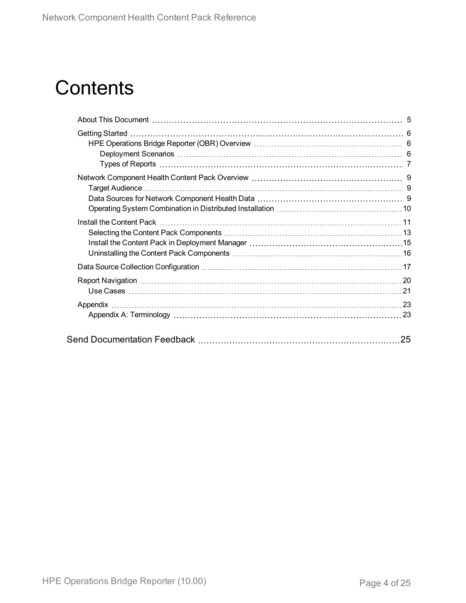## **Contents**

| 25 |
|----|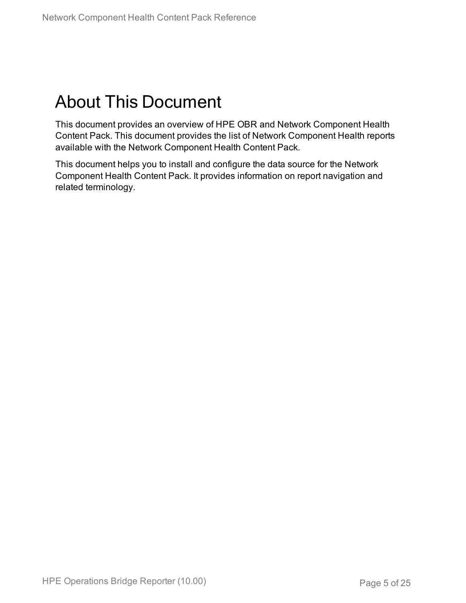## <span id="page-4-0"></span>About This Document

This document provides an overview of HPE OBR and Network Component Health Content Pack. This document provides the list of Network Component Health reports available with the Network Component Health Content Pack.

This document helps you to install and configure the data source for the Network Component Health Content Pack. It provides information on report navigation and related terminology.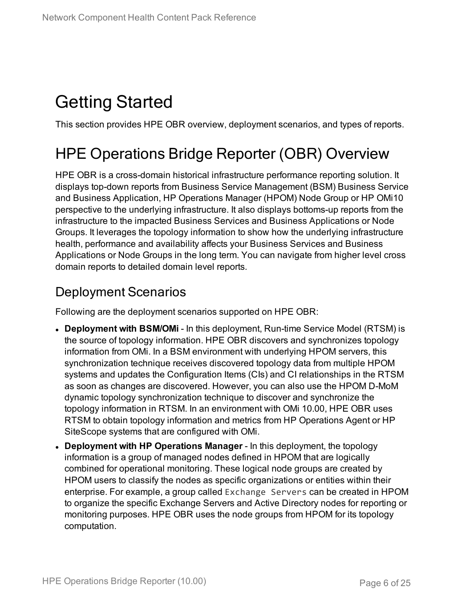## <span id="page-5-0"></span>Getting Started

<span id="page-5-1"></span>This section provides HPE OBR overview, deployment scenarios, and types of reports.

## HPE Operations Bridge Reporter (OBR) Overview

HPE OBR is a cross-domain historical infrastructure performance reporting solution. It displays top-down reports from Business Service Management (BSM) Business Service and Business Application, HP Operations Manager (HPOM) Node Group or HP OMi10 perspective to the underlying infrastructure. It also displays bottoms-up reports from the infrastructure to the impacted Business Services and Business Applications or Node Groups. It leverages the topology information to show how the underlying infrastructure health, performance and availability affects your Business Services and Business Applications or Node Groups in the long term. You can navigate from higher level cross domain reports to detailed domain level reports.

### <span id="page-5-2"></span>Deployment Scenarios

Following are the deployment scenarios supported on HPE OBR:

- **Deployment with BSM/OMi** In this deployment, Run-time Service Model (RTSM) is the source of topology information. HPE OBR discovers and synchronizes topology information from OMi. In a BSM environment with underlying HPOM servers, this synchronization technique receives discovered topology data from multiple HPOM systems and updates the Configuration Items (CIs) and CI relationships in the RTSM as soon as changes are discovered. However, you can also use the HPOM D-MoM dynamic topology synchronization technique to discover and synchronize the topology information in RTSM. In an environment with OMi 10.00, HPE OBR uses RTSM to obtain topology information and metrics from HP Operations Agent or HP SiteScope systems that are configured with OMi.
- <sup>l</sup> **Deployment with HP Operations Manager** In this deployment, the topology information is a group of managed nodes defined in HPOM that are logically combined for operational monitoring. These logical node groups are created by HPOM users to classify the nodes as specific organizations or entities within their enterprise. For example, a group called Exchange Servers can be created in HPOM to organize the specific Exchange Servers and Active Directory nodes for reporting or monitoring purposes. HPE OBR uses the node groups from HPOM for its topology computation.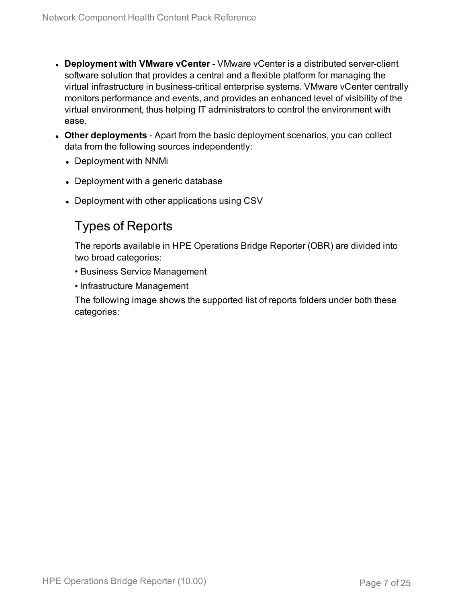- **.** Deployment with VMware vCenter VMware vCenter is a distributed server-client software solution that provides a central and a flexible platform for managing the virtual infrastructure in business-critical enterprise systems. VMware vCenter centrally monitors performance and events, and provides an enhanced level of visibility of the virtual environment, thus helping IT administrators to control the environment with ease.
- **Other deployments** Apart from the basic deployment scenarios, you can collect data from the following sources independently:
	- Deployment with NNMi
	- Deployment with a generic database
	- Deployment with other applications using CSV

### <span id="page-6-0"></span>Types of Reports

The reports available in HPE Operations Bridge Reporter (OBR) are divided into two broad categories:

- Business Service Management
- Infrastructure Management

The following image shows the supported list of reports folders under both these categories: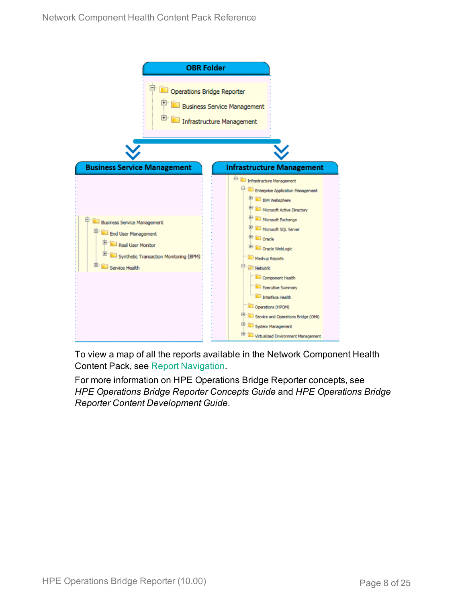

To view a map of all the reports available in the Network Component Health Content Pack, see Report [Navigation.](#page-19-0)

For more information on HPE Operations Bridge Reporter concepts, see *HPE Operations Bridge Reporter Concepts Guide* and *HPE Operations Bridge Reporter Content Development Guide*.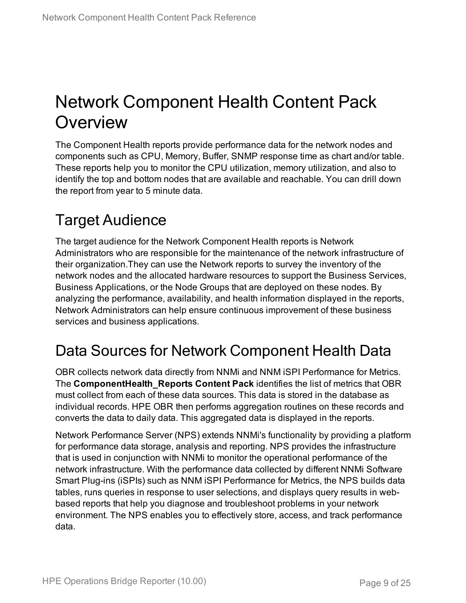## <span id="page-8-0"></span>Network Component Health Content Pack **Overview**

The Component Health reports provide performance data for the network nodes and components such as CPU, Memory, Buffer, SNMP response time as chart and/or table. These reports help you to monitor the CPU utilization, memory utilization, and also to identify the top and bottom nodes that are available and reachable. You can drill down the report from year to 5 minute data.

## <span id="page-8-1"></span>Target Audience

The target audience for the Network Component Health reports is Network Administrators who are responsible for the maintenance of the network infrastructure of their organization.They can use the Network reports to survey the inventory of the network nodes and the allocated hardware resources to support the Business Services, Business Applications, or the Node Groups that are deployed on these nodes. By analyzing the performance, availability, and health information displayed in the reports, Network Administrators can help ensure continuous improvement of these business services and business applications.

## <span id="page-8-2"></span>Data Sources for Network Component Health Data

OBR collects network data directly from NNMi and NNM iSPI Performance for Metrics. The **ComponentHealth\_Reports Content Pack** identifies the list of metrics that OBR must collect from each of these data sources. This data is stored in the database as individual records. HPE OBR then performs aggregation routines on these records and converts the data to daily data. This aggregated data is displayed in the reports.

Network Performance Server (NPS) extends NNMi's functionality by providing a platform for performance data storage, analysis and reporting. NPS provides the infrastructure that is used in conjunction with NNMi to monitor the operational performance of the network infrastructure. With the performance data collected by different NNMi Software Smart Plug-ins (iSPIs) such as NNM iSPI Performance for Metrics, the NPS builds data tables, runs queries in response to user selections, and displays query results in webbased reports that help you diagnose and troubleshoot problems in your network environment. The NPS enables you to effectively store, access, and track performance data.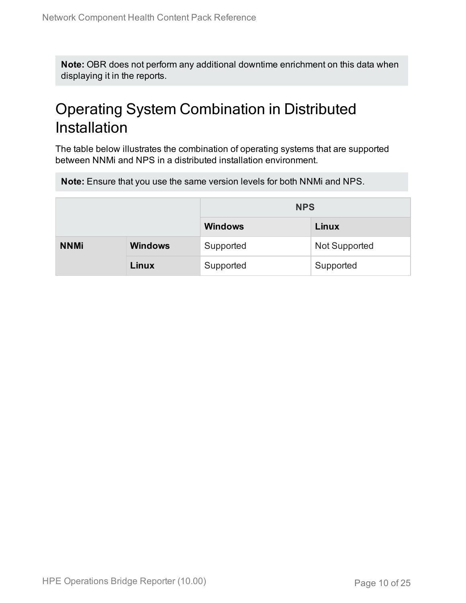**Note:** OBR does not perform any additional downtime enrichment on this data when displaying it in the reports.

## <span id="page-9-0"></span>Operating System Combination in Distributed Installation

The table below illustrates the combination of operating systems that are supported between NNMi and NPS in a distributed installation environment.

**Note:** Ensure that you use the same version levels for both NNMi and NPS.

|             |                | <b>NPS</b>     |                      |  |  |
|-------------|----------------|----------------|----------------------|--|--|
|             |                | <b>Windows</b> | Linux                |  |  |
| <b>NNMi</b> | <b>Windows</b> | Supported      | <b>Not Supported</b> |  |  |
|             | Linux          | Supported      | Supported            |  |  |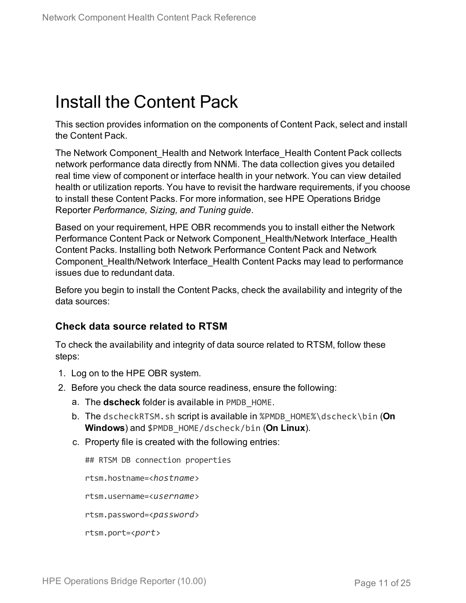## <span id="page-10-0"></span>Install the Content Pack

This section provides information on the components of Content Pack, select and install the Content Pack.

The Network Component Health and Network Interface Health Content Pack collects network performance data directly from NNMi. The data collection gives you detailed real time view of component or interface health in your network. You can view detailed health or utilization reports. You have to revisit the hardware requirements, if you choose to install these Content Packs. For more information, see HPE Operations Bridge Reporter *Performance, Sizing, and Tuning guide*.

Based on your requirement, HPE OBR recommends you to install either the Network Performance Content Pack or Network Component Health/Network Interface Health Content Packs. Installing both Network Performance Content Pack and Network Component Health/Network Interface Health Content Packs may lead to performance issues due to redundant data.

Before you begin to install the Content Packs, check the availability and integrity of the data sources:

### **Check data source related to RTSM**

To check the availability and integrity of data source related to RTSM, follow these steps:

- 1. Log on to the HPE OBR system.
- 2. Before you check the data source readiness, ensure the following:
	- a. The **dscheck** folder is available in PMDB\_HOME.
	- b. The dscheckRTSM.sh script is available in %PMDB\_HOME%\dscheck\bin (**On Windows**) and \$PMDB\_HOME/dscheck/bin (**On Linux**).
	- c. Property file is created with the following entries:

## RTSM DB connection properties

rtsm.hostname=<*hostname*>

rtsm.username=<*username*>

rtsm.password=<*password*>

rtsm.port=<*port*>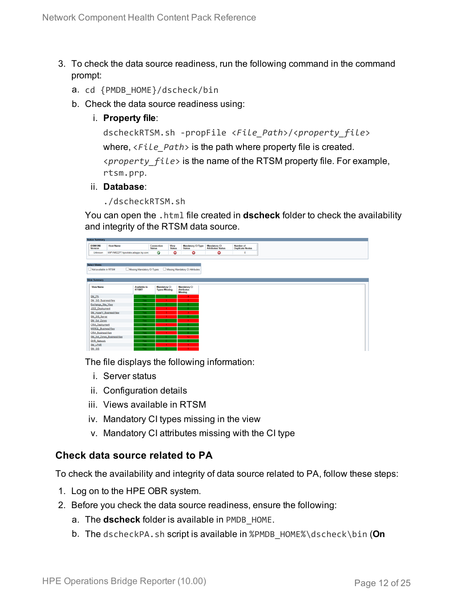- 3. To check the data source readiness, run the following command in the command prompt:
	- a. cd {PMDB\_HOME}/dscheck/bin
	- b. Check the data source readiness using:
		- i. **Property file**:

```
dscheckRTSM.sh -propFile <File_Path>/<property_file>
where, \langleFile Path> is the path where property file is created.
<property_file> is the name of the RTSM property file. For example,
rtsm.prp.
```
- ii. **Database**:
	- ./dscheckRTSM.sh

You can open the .html file created in **dscheck** folder to check the availability and integrity of the RTSM data source.

| <b>Status Summary</b>            |                                   |                              |                                             |                       |                                           |                                                 |                                            |
|----------------------------------|-----------------------------------|------------------------------|---------------------------------------------|-----------------------|-------------------------------------------|-------------------------------------------------|--------------------------------------------|
| <b>BSM/OMF</b><br><b>Version</b> | <b>Host Name</b>                  |                              | Connection<br><b>Status</b>                 | View<br><b>Status</b> | <b>Mandatory CI Type</b><br><b>Status</b> | <b>Mandatory CI</b><br><b>Attributes Status</b> | <b>Number of</b><br><b>Duplicate Nodes</b> |
| Unknown                          | IWFVM02277.hpswlabs.adapps.hp.com |                              | Ø                                           | ☺                     | O                                         | O                                               | $\circ$                                    |
|                                  |                                   |                              |                                             |                       |                                           |                                                 |                                            |
|                                  |                                   |                              |                                             |                       |                                           |                                                 |                                            |
| <b>Select Views:</b>             |                                   |                              |                                             |                       |                                           |                                                 |                                            |
| Not available in RTSM            |                                   | Missing Mandatory CI Types   |                                             |                       | Missing Mandatory CI Attributes           |                                                 |                                            |
|                                  |                                   |                              |                                             |                       |                                           |                                                 |                                            |
| <b>View Summary</b>              |                                   |                              |                                             |                       |                                           |                                                 |                                            |
|                                  |                                   |                              |                                             |                       |                                           |                                                 |                                            |
| <b>View Name</b>                 |                                   | <b>Available in</b><br>RTSM? | <b>Mandatory CI</b><br><b>Types Missing</b> |                       | <b>Mandatory CI</b><br><b>Attributes</b>  |                                                 |                                            |
|                                  |                                   |                              |                                             |                       | <b>Missing</b>                            |                                                 |                                            |
| SM_PA                            |                                   | Yes                          |                                             |                       | $\Delta$                                  |                                                 |                                            |
| SM SiS BusinessView              |                                   | Yes                          |                                             |                       |                                           |                                                 |                                            |
| Exchange Site View               |                                   | Yes                          |                                             |                       |                                           |                                                 |                                            |
| J2EE Deployment                  |                                   | Yes:                         |                                             |                       |                                           |                                                 |                                            |
| SM HyperV BusinessView           |                                   | Yes                          |                                             |                       | R                                         |                                                 |                                            |
| SM SiS Server                    |                                   | Yes:                         |                                             |                       |                                           |                                                 |                                            |
| SM Sol Zones                     |                                   | Yes:                         |                                             |                       |                                           |                                                 |                                            |
| <b>ORA</b> Deployment            |                                   | Yes:                         |                                             |                       |                                           |                                                 |                                            |
| <b>MSSQL BusinessView</b>        |                                   | Yes:                         |                                             |                       |                                           |                                                 |                                            |
| ORA BusinessView                 |                                   | Yes                          |                                             |                       | n                                         |                                                 |                                            |
| SM_Sol_Zones_BusinessView        |                                   | <b>Yes</b>                   |                                             |                       | 12 <sub>1</sub>                           |                                                 |                                            |
| <b>SHR Network</b>               |                                   | Yes                          |                                             |                       |                                           |                                                 |                                            |
| <b>SM LPAR</b>                   |                                   | Yes                          |                                             |                       |                                           |                                                 |                                            |
| SM SiS                           |                                   | <b>Yes</b>                   |                                             |                       |                                           |                                                 |                                            |

The file displays the following information:

- i. Server status
- ii. Configuration details
- iii. Views available in RTSM
- iv. Mandatory CI types missing in the view
- v. Mandatory CI attributes missing with the CI type

### **Check data source related to PA**

To check the availability and integrity of data source related to PA, follow these steps:

- 1. Log on to the HPE OBR system.
- 2. Before you check the data source readiness, ensure the following:
	- a. The **dscheck** folder is available in PMDB\_HOME.
	- b. The dscheckPA.sh script is available in %PMDB\_HOME%\dscheck\bin (**On**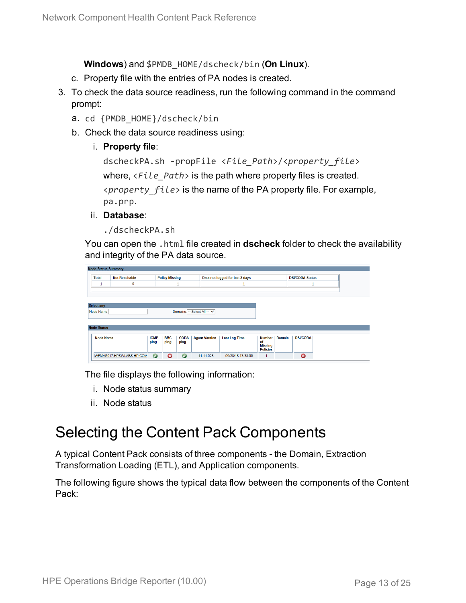**Windows**) and \$PMDB\_HOME/dscheck/bin (**On Linux**).

- c. Property file with the entries of PA nodes is created.
- 3. To check the data source readiness, run the following command in the command prompt:
	- a. cd {PMDB\_HOME}/dscheck/bin
	- b. Check the data source readiness using:
		- i. **Property file**:

```
dscheckPA.sh -propFile <File_Path>/<property_file>
where, <File_Path> is the path where property files is created.
<property_file> is the name of the PA property file. For example,
pa.prp.
```
- ii. **Database**:
	- ./dscheckPA.sh

You can open the .html file created in **dscheck** folder to check the availability and integrity of the PA data source.

|                                           | <b>Node Status Summary</b> |                                                                                  |             |                        |             |                      |                      |                                   |        |                 |  |  |
|-------------------------------------------|----------------------------|----------------------------------------------------------------------------------|-------------|------------------------|-------------|----------------------|----------------------|-----------------------------------|--------|-----------------|--|--|
|                                           | <b>Total</b>               | <b>Policy Missing</b><br><b>Not Reachable</b><br>Data not logged for last 2 days |             | <b>DSi/CODA Status</b> |             |                      |                      |                                   |        |                 |  |  |
|                                           | Щ                          | 0                                                                                |             |                        |             |                      |                      |                                   |        | 1               |  |  |
|                                           |                            |                                                                                  |             |                        |             |                      |                      |                                   |        |                 |  |  |
|                                           |                            |                                                                                  |             |                        |             |                      |                      |                                   |        |                 |  |  |
|                                           | <b>Select any</b>          |                                                                                  |             |                        |             |                      |                      |                                   |        |                 |  |  |
| Domains: -- Select All -- V<br>Node Name: |                            |                                                                                  |             |                        |             |                      |                      |                                   |        |                 |  |  |
|                                           |                            |                                                                                  |             |                        |             |                      |                      |                                   |        |                 |  |  |
|                                           | <b>Node Status</b>         |                                                                                  |             |                        |             |                      |                      |                                   |        |                 |  |  |
|                                           | <b>Node Name</b>           |                                                                                  | <b>ICMP</b> | <b>BBC</b>             | <b>CODA</b> | <b>Agent Version</b> | <b>Last Log Time</b> | Number                            | Domain | <b>DSi/CODA</b> |  |  |
|                                           |                            |                                                                                  | ping        | ping                   | ping        |                      |                      | of                                |        |                 |  |  |
|                                           |                            |                                                                                  |             |                        |             |                      |                      | <b>Missing</b><br><b>Policies</b> |        |                 |  |  |
|                                           |                            | IWFMVS017.HPSWLABS.HP.COM                                                        | $\bullet$   | ణ                      | $\Omega$    | 11.11.025            | 09/28/15 13:38:00    | 1                                 |        | ౚ               |  |  |

The file displays the following information:

- i. Node status summary
- ii. Node status

### <span id="page-12-0"></span>Selecting the Content Pack Components

A typical Content Pack consists of three components - the Domain, Extraction Transformation Loading (ETL), and Application components.

The following figure shows the typical data flow between the components of the Content Pack: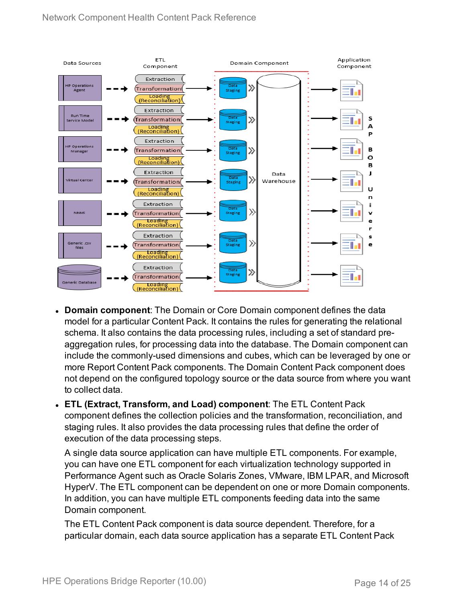

- **Domain component**: The Domain or Core Domain component defines the data model for a particular Content Pack. It contains the rules for generating the relational schema. It also contains the data processing rules, including a set of standard preaggregation rules, for processing data into the database. The Domain component can include the commonly-used dimensions and cubes, which can be leveraged by one or more Report Content Pack components. The Domain Content Pack component does not depend on the configured topology source or the data source from where you want to collect data.
- <sup>l</sup> **ETL (Extract, Transform, and Load) component**: The ETL Content Pack component defines the collection policies and the transformation, reconciliation, and staging rules. It also provides the data processing rules that define the order of execution of the data processing steps.

A single data source application can have multiple ETL components. For example, you can have one ETL component for each virtualization technology supported in Performance Agent such as Oracle Solaris Zones, VMware, IBM LPAR, and Microsoft HyperV. The ETL component can be dependent on one or more Domain components. In addition, you can have multiple ETL components feeding data into the same Domain component.

The ETL Content Pack component is data source dependent. Therefore, for a particular domain, each data source application has a separate ETL Content Pack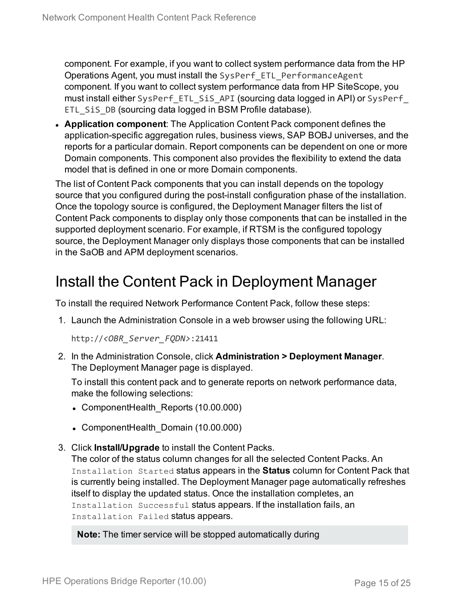component. For example, if you want to collect system performance data from the HP Operations Agent, you must install the SysPerf\_ETL\_PerformanceAgent component. If you want to collect system performance data from HP SiteScope, you must install either SysPerf\_ETL\_SiS\_API (sourcing data logged in API) or SysPerf\_ ETL SiS DB (sourcing data logged in BSM Profile database).

**Application component**: The Application Content Pack component defines the application-specific aggregation rules, business views, SAP BOBJ universes, and the reports for a particular domain. Report components can be dependent on one or more Domain components. This component also provides the flexibility to extend the data model that is defined in one or more Domain components.

The list of Content Pack components that you can install depends on the topology source that you configured during the post-install configuration phase of the installation. Once the topology source is configured, the Deployment Manager filters the list of Content Pack components to display only those components that can be installed in the supported deployment scenario. For example, if RTSM is the configured topology source, the Deployment Manager only displays those components that can be installed in the SaOB and APM deployment scenarios.

### <span id="page-14-0"></span>Install the Content Pack in Deployment Manager

To install the required Network Performance Content Pack, follow these steps:

1. Launch the Administration Console in a web browser using the following URL:

http://*<OBR\_Server\_FQDN>*:21411

2. In the Administration Console, click **Administration > Deployment Manager**. The Deployment Manager page is displayed.

To install this content pack and to generate reports on network performance data, make the following selections:

- ComponentHealth Reports (10.00.000)
- ComponentHealth Domain (10.00.000)
- 3. Click **Install/Upgrade** to install the Content Packs.

The color of the status column changes for all the selected Content Packs. An Installation Started status appears in the **Status** column for Content Pack that is currently being installed. The Deployment Manager page automatically refreshes itself to display the updated status. Once the installation completes, an Installation Successful status appears. If the installation fails, an Installation Failed status appears.

**Note:** The timer service will be stopped automatically during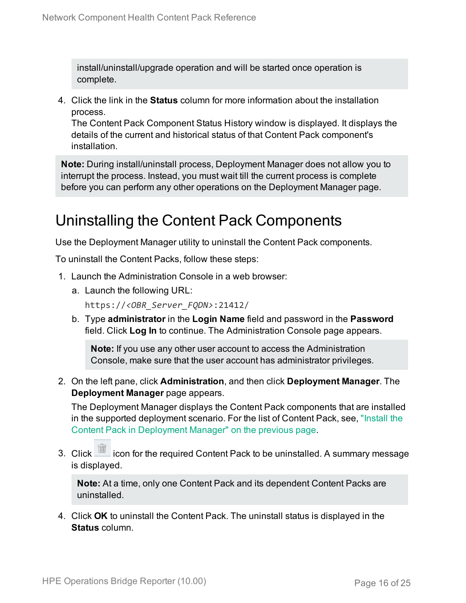install/uninstall/upgrade operation and will be started once operation is complete.

4. Click the link in the **Status** column for more information about the installation process.

The Content Pack Component Status History window is displayed. It displays the details of the current and historical status of that Content Pack component's installation.

**Note:** During install/uninstall process, Deployment Manager does not allow you to interrupt the process. Instead, you must wait till the current process is complete before you can perform any other operations on the Deployment Manager page.

## <span id="page-15-0"></span>Uninstalling the Content Pack Components

Use the Deployment Manager utility to uninstall the Content Pack components.

To uninstall the Content Packs, follow these steps:

- 1. Launch the Administration Console in a web browser:
	- a. Launch the following URL:

https://*<OBR\_Server\_FQDN>*:21412/

b. Type **administrator** in the **Login Name** field and password in the **Password** field. Click **Log In** to continue. The Administration Console page appears.

**Note:** If you use any other user account to access the Administration Console, make sure that the user account has administrator privileges.

2. On the left pane, click **Administration**, and then click **Deployment Manager**. The **Deployment Manager** page appears.

The Deployment Manager displays the Content Pack components that are installed in the supported deployment scenario. For the list of Content Pack, see, ["Install](#page-14-0) the Content Pack in [Deployment](#page-14-0) Manager" on the previous page.

3. Click icon for the required Content Pack to be uninstalled. A summary message is displayed.

**Note:** At a time, only one Content Pack and its dependent Content Packs are uninstalled.

4. Click **OK** to uninstall the Content Pack. The uninstall status is displayed in the **Status** column.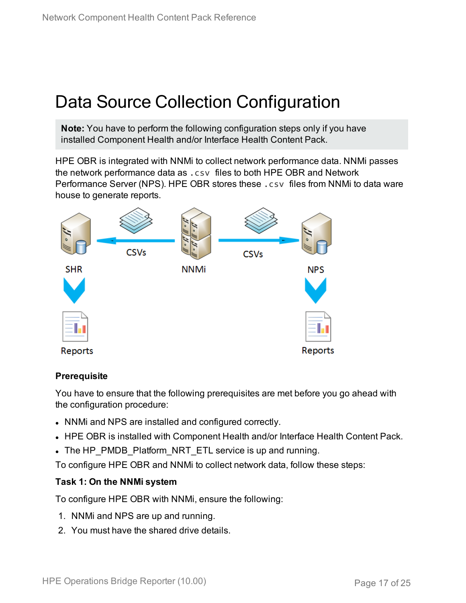## <span id="page-16-0"></span>Data Source Collection Configuration

**Note:** You have to perform the following configuration steps only if you have installed Component Health and/or Interface Health Content Pack.

HPE OBR is integrated with NNMi to collect network performance data. NNMi passes the network performance data as .csv files to both HPE OBR and Network Performance Server (NPS). HPE OBR stores these .csv files from NNMi to data ware house to generate reports.



### **Prerequisite**

You have to ensure that the following prerequisites are met before you go ahead with the configuration procedure:

- NNMi and NPS are installed and configured correctly.
- HPE OBR is installed with Component Health and/or Interface Health Content Pack.
- The HP\_PMDB\_Platform\_NRT\_ETL service is up and running.

To configure HPE OBR and NNMi to collect network data, follow these steps:

### **Task 1: On the NNMi system**

To configure HPE OBR with NNMi, ensure the following:

- 1. NNMi and NPS are up and running.
- 2. You must have the shared drive details.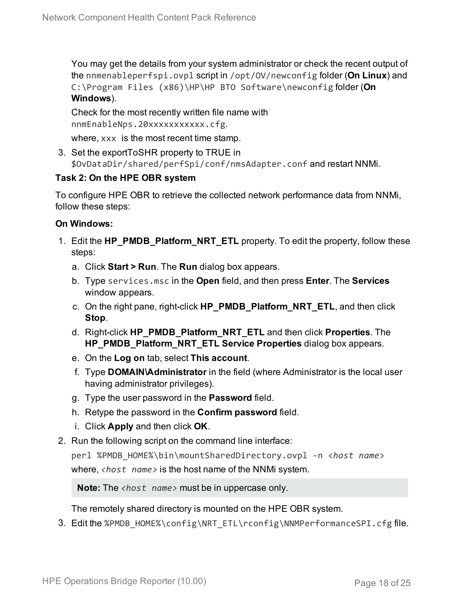You may get the details from your system administrator or check the recent output of the nnmenableperfspi.ovpl script in /opt/OV/newconfig folder (**On Linux**) and C:\Program Files (x86)\HP\HP BTO Software\newconfig folder (**On Windows**).

Check for the most recently written file name with nnmEnableNps.20xxxxxxxxxxx.cfg.

where,  $xxx$  is the most recent time stamp.

3. Set the exportToSHR property to TRUE in \$OvDataDir/shared/perfSpi/conf/nmsAdapter.conf and restart NNMi.

### **Task 2: On the HPE OBR system**

To configure HPE OBR to retrieve the collected network performance data from NNMi, follow these steps:

### **On Windows:**

- 1. Edit the **HP\_PMDB\_Platform\_NRT\_ETL** property. To edit the property, follow these steps:
	- a. Click **Start > Run**. The **Run** dialog box appears.
	- b. Type services.msc in the **Open** field, and then press **Enter**. The **Services** window appears.
	- c. On the right pane, right-click **HP\_PMDB\_Platform\_NRT\_ETL**, and then click **Stop**.
	- d. Right-click **HP\_PMDB\_Platform\_NRT\_ETL** and then click **Properties**. The **HP\_PMDB\_Platform\_NRT\_ETL Service Properties** dialog box appears.
	- e. On the **Log on** tab, select **This account**.
	- f. Type **DOMAIN\Administrator** in the field (where Administrator is the local user having administrator privileges).
	- g. Type the user password in the **Password** field.
	- h. Retype the password in the **Confirm password** field.
	- i. Click **Apply** and then click **OK**.
- 2. Run the following script on the command line interface:

perl %PMDB\_HOME%\bin\mountSharedDirectory.ovpl -n <*host name*> where, *<host name>* is the host name of the NNMi system.

**Note:** The *<host name>* must be in uppercase only.

The remotely shared directory is mounted on the HPE OBR system.

3. Edit the %PMDB\_HOME%\config\NRT\_ETL\rconfig\NNMPerformanceSPI.cfg file.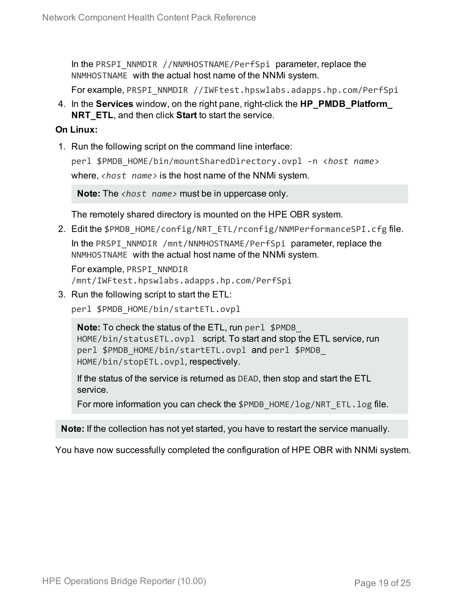In the PRSPI\_NNMDIR //NNMHOSTNAME/PerfSpi parameter, replace the NNMHOSTNAME with the actual host name of the NNMi system.

For example, PRSPI\_NNMDIR //IWFtest.hpswlabs.adapps.hp.com/PerfSpi

4. In the **Services** window, on the right pane, right-click the **HP\_PMDB\_Platform\_ NRT\_ETL**, and then click **Start** to start the service.

#### **On Linux:**

1. Run the following script on the command line interface:

perl \$PMDB\_HOME/bin/mountSharedDirectory.ovpl -n <*host name*> where, *<host name>* is the host name of the NNMi system.

**Note:** The *<host name>* must be in uppercase only.

The remotely shared directory is mounted on the HPE OBR system.

2. Edit the \$PMDB\_HOME/config/NRT\_ETL/rconfig/NNMPerformanceSPI.cfg file. In the PRSPI\_NNMDIR /mnt/NNMHOSTNAME/PerfSpi parameter, replace the NNMHOSTNAME with the actual host name of the NNMi system.

For example, PRSPI\_NNMDIR /mnt/IWFtest.hpswlabs.adapps.hp.com/PerfSpi

3. Run the following script to start the ETL:

perl \$PMDB\_HOME/bin/startETL.ovpl

**Note:** To check the status of the ETL, run perl \$PMDB HOME/bin/statusETL.ovpl script. To start and stop the ETL service, run perl \$PMDB\_HOME/bin/startETL.ovpl and perl \$PMDB\_ HOME/bin/stopETL.ovpl, respectively.

If the status of the service is returned as DEAD, then stop and start the ETL service.

For more information you can check the \$PMDB\_HOME/log/NRT\_ETL.log file.

**Note:** If the collection has not yet started, you have to restart the service manually.

You have now successfully completed the configuration of HPE OBR with NNMi system.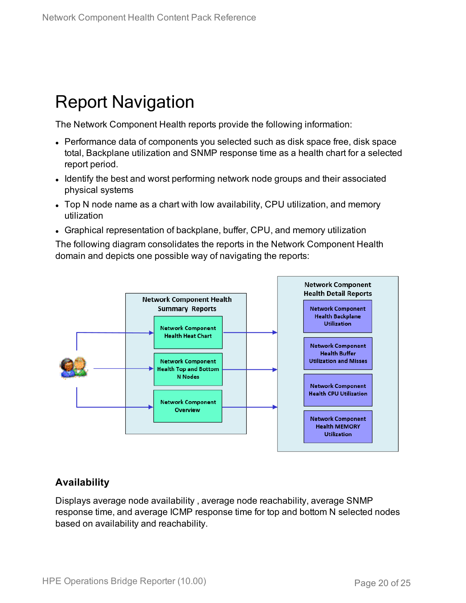## <span id="page-19-0"></span>Report Navigation

The Network Component Health reports provide the following information:

- Performance data of components you selected such as disk space free, disk space total, Backplane utilization and SNMP response time as a health chart for a selected report period.
- Identify the best and worst performing network node groups and their associated physical systems
- Top N node name as a chart with low availability, CPU utilization, and memory utilization
- Graphical representation of backplane, buffer, CPU, and memory utilization

The following diagram consolidates the reports in the Network Component Health domain and depicts one possible way of navigating the reports:



### **Availability**

Displays average node availability , average node reachability, average SNMP response time, and average ICMP response time for top and bottom N selected nodes based on availability and reachability.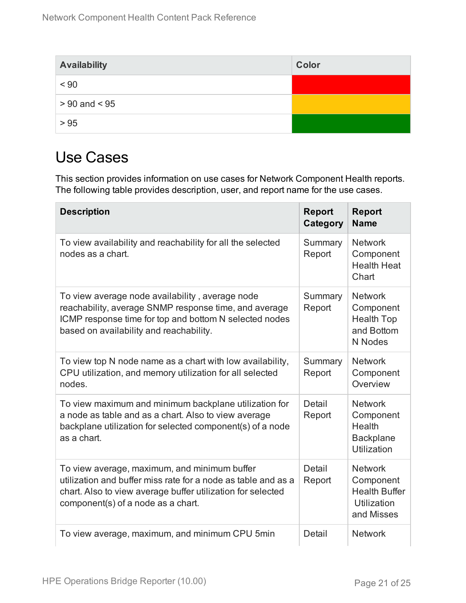| <b>Availability</b> | Color |
|---------------------|-------|
| < 90                |       |
| $> 90$ and $< 95$   |       |
| > 95                |       |

## <span id="page-20-0"></span>Use Cases

This section provides information on use cases for Network Component Health reports. The following table provides description, user, and report name for the use cases.

| <b>Description</b>                                                                                                                                                                                                 | <b>Report</b><br>Category | <b>Report</b><br><b>Name</b>                                                     |
|--------------------------------------------------------------------------------------------------------------------------------------------------------------------------------------------------------------------|---------------------------|----------------------------------------------------------------------------------|
| To view availability and reachability for all the selected<br>nodes as a chart.                                                                                                                                    | Summary<br>Report         | <b>Network</b><br>Component<br><b>Health Heat</b><br>Chart                       |
| To view average node availability, average node<br>reachability, average SNMP response time, and average<br>ICMP response time for top and bottom N selected nodes<br>based on availability and reachability.      | Summary<br>Report         | <b>Network</b><br>Component<br><b>Health Top</b><br>and Bottom<br>N Nodes        |
| To view top N node name as a chart with low availability,<br>CPU utilization, and memory utilization for all selected<br>nodes.                                                                                    | Summary<br>Report         | <b>Network</b><br>Component<br>Overview                                          |
| To view maximum and minimum backplane utilization for<br>a node as table and as a chart. Also to view average<br>backplane utilization for selected component(s) of a node<br>as a chart.                          | Detail<br>Report          | <b>Network</b><br>Component<br>Health<br><b>Backplane</b><br>Utilization         |
| To view average, maximum, and minimum buffer<br>utilization and buffer miss rate for a node as table and as a<br>chart. Also to view average buffer utilization for selected<br>component(s) of a node as a chart. | Detail<br>Report          | <b>Network</b><br>Component<br><b>Health Buffer</b><br>Utilization<br>and Misses |
| To view average, maximum, and minimum CPU 5min                                                                                                                                                                     | Detail                    | <b>Network</b>                                                                   |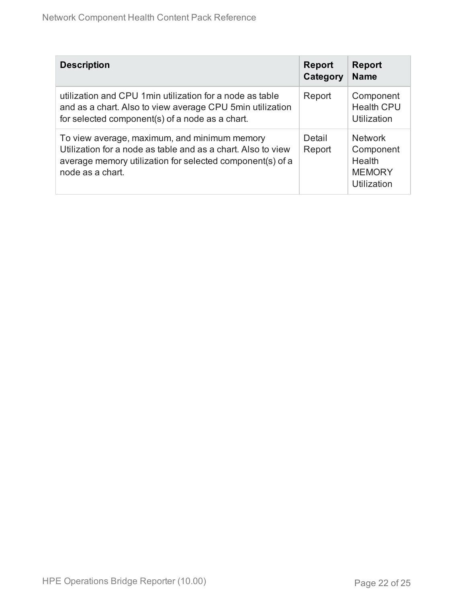| <b>Description</b>                                                                                                                                                                            | <b>Report</b><br>Category | <b>Report</b><br><b>Name</b>                                          |
|-----------------------------------------------------------------------------------------------------------------------------------------------------------------------------------------------|---------------------------|-----------------------------------------------------------------------|
| utilization and CPU 1 min utilization for a node as table<br>and as a chart. Also to view average CPU 5min utilization<br>for selected component(s) of a node as a chart.                     | Report                    | Component<br><b>Health CPU</b><br>Utilization                         |
| To view average, maximum, and minimum memory<br>Utilization for a node as table and as a chart. Also to view<br>average memory utilization for selected component(s) of a<br>node as a chart. | Detail<br>Report          | <b>Network</b><br>Component<br>Health<br><b>MEMORY</b><br>Utilization |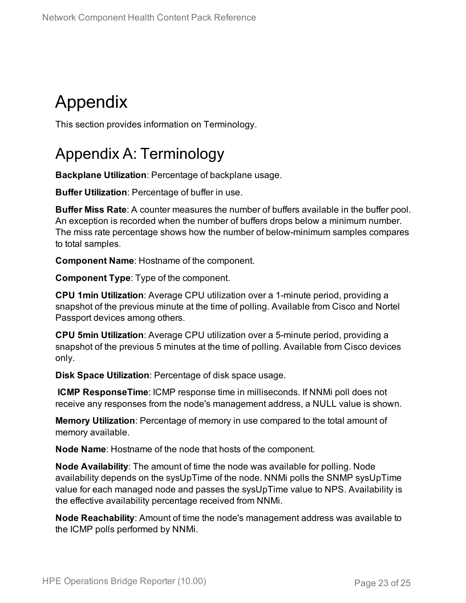## <span id="page-22-0"></span>Appendix

<span id="page-22-1"></span>This section provides information on Terminology.

## Appendix A: Terminology

**Backplane Utilization**: Percentage of backplane usage.

**Buffer Utilization**: Percentage of buffer in use.

**Buffer Miss Rate**: A counter measures the number of buffers available in the buffer pool. An exception is recorded when the number of buffers drops below a minimum number. The miss rate percentage shows how the number of below-minimum samples compares to total samples.

**Component Name**: Hostname of the component.

**Component Type**: Type of the component.

**CPU 1min Utilization**: Average CPU utilization over a 1-minute period, providing a snapshot of the previous minute at the time of polling. Available from Cisco and Nortel Passport devices among others.

**CPU 5min Utilization**: Average CPU utilization over a 5-minute period, providing a snapshot of the previous 5 minutes at the time of polling. Available from Cisco devices only.

**Disk Space Utilization**: Percentage of disk space usage.

**ICMP ResponseTime**: ICMP response time in milliseconds. If NNMi poll does not receive any responses from the node's management address, a NULL value is shown.

**Memory Utilization**: Percentage of memory in use compared to the total amount of memory available.

**Node Name**: Hostname of the node that hosts of the component.

**Node Availability**: The amount of time the node was available for polling. Node availability depends on the sysUpTime of the node. NNMi polls the SNMP sysUpTime value for each managed node and passes the sysUpTime value to NPS. Availability is the effective availability percentage received from NNMi.

**Node Reachability**: Amount of time the node's management address was available to the ICMP polls performed by NNMi.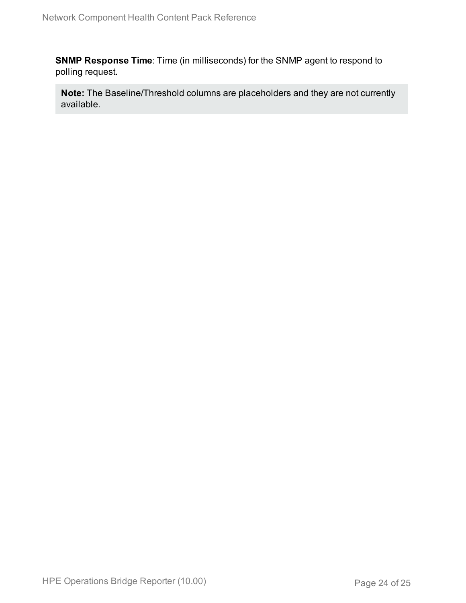**SNMP Response Time**: Time (in milliseconds) for the SNMP agent to respond to polling request.

**Note:** The Baseline/Threshold columns are placeholders and they are not currently available.